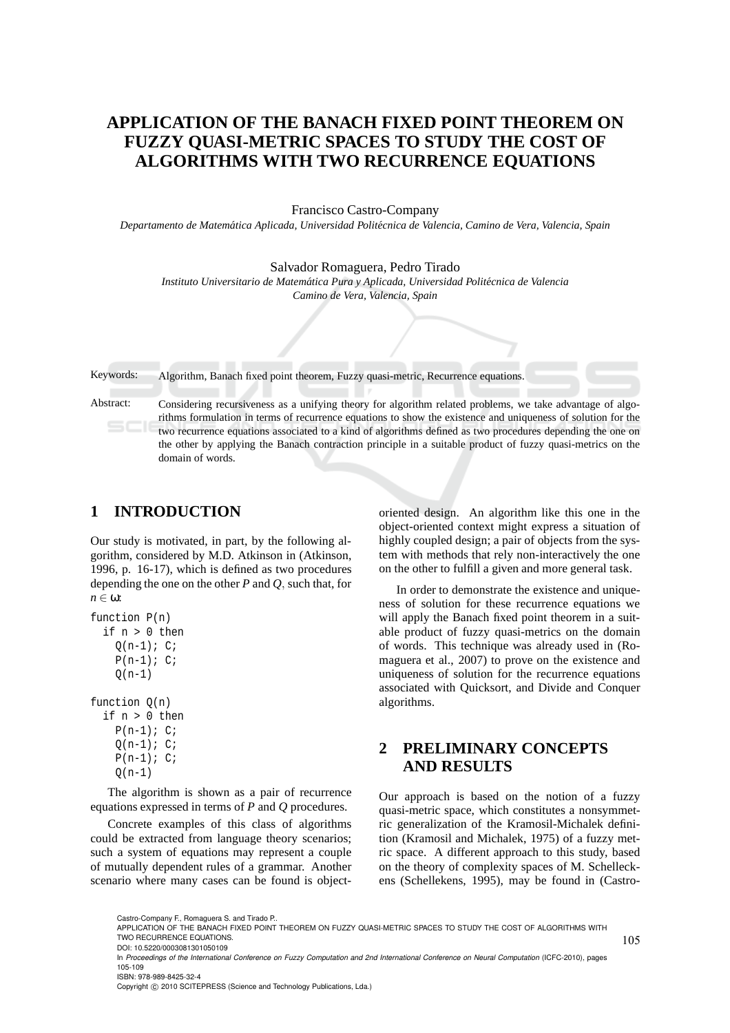# **APPLICATION OF THE BANACH FIXED POINT THEOREM ON FUZZY QUASI-METRIC SPACES TO STUDY THE COST OF ALGORITHMS WITH TWO RECURRENCE EQUATIONS**

Francisco Castro-Company

*Departamento de Matem´atica Aplicada, Universidad Polit´ecnica de Valencia, Camino de Vera, Valencia, Spain*

Salvador Romaguera, Pedro Tirado

Instituto Universitario de Matemática Pura y Aplicada, Universidad Politécnica de Valencia

*Camino de Vera, Valencia, Spain*

Keywords: Algorithm, Banach fixed point theorem, Fuzzy quasi-metric, Recurrence equations.

Abstract: Considering recursiveness as a unifying theory for algorithm related problems, we take advantage of algorithms formulation in terms of recurrence equations to show the existence and uniqueness of solution for the two recurrence equations associated to a kind of algorithms defined as two procedures depending the one on the other by applying the Banach contraction principle in a suitable product of fuzzy quasi-metrics on the domain of words.

### **1 INTRODUCTION**

Our study is motivated, in part, by the following algorithm, considered by M.D. Atkinson in (Atkinson, 1996, p. 16-17), which is defined as two procedures depending the one on the other *P* and *Q*, such that, for *n* ∈ ω:

```
function P(n)
if n > 0 then
  Q(n-1); C;
  P(n-1); C;Q(n-1)function Q(n)
```

```
if n > 0 then
P(n-1); C;Q(n-1); C;P(n-1); C;Q(n-1)
```
The algorithm is shown as a pair of recurrence equations expressed in terms of *P* and *Q* procedures.

Concrete examples of this class of algorithms could be extracted from language theory scenarios; such a system of equations may represent a couple of mutually dependent rules of a grammar. Another scenario where many cases can be found is object-

oriented design. An algorithm like this one in the object-oriented context might express a situation of highly coupled design; a pair of objects from the system with methods that rely non-interactively the one on the other to fulfill a given and more general task.

In order to demonstrate the existence and uniqueness of solution for these recurrence equations we will apply the Banach fixed point theorem in a suitable product of fuzzy quasi-metrics on the domain of words. This technique was already used in (Romaguera et al., 2007) to prove on the existence and uniqueness of solution for the recurrence equations associated with Quicksort, and Divide and Conquer algorithms.

## **2 PRELIMINARY CONCEPTS AND RESULTS**

Our approach is based on the notion of a fuzzy quasi-metric space, which constitutes a nonsymmetric generalization of the Kramosil-Michalek definition (Kramosil and Michalek, 1975) of a fuzzy metric space. A different approach to this study, based on the theory of complexity spaces of M. Schelleckens (Schellekens, 1995), may be found in (Castro-

Copyright © 2010 SCITEPRESS (Science and Technology Publications, Lda.)

Castro-Company F., Romaguera S. and Tirado P..

APPLICATION OF THE BANACH FIXED POINT THEOREM ON FUZZY QUASI-METRIC SPACES TO STUDY THE COST OF ALGORITHMS WITH TWO RECURRENCE EQUATIONS.

DOI: 10.5220/0003081301050109

In *Proceedings of the International Conference on Fuzzy Computation and 2nd International Conference on Neural Computation* (ICFC-2010), pages 105-109 ISBN: 978-989-8425-32-4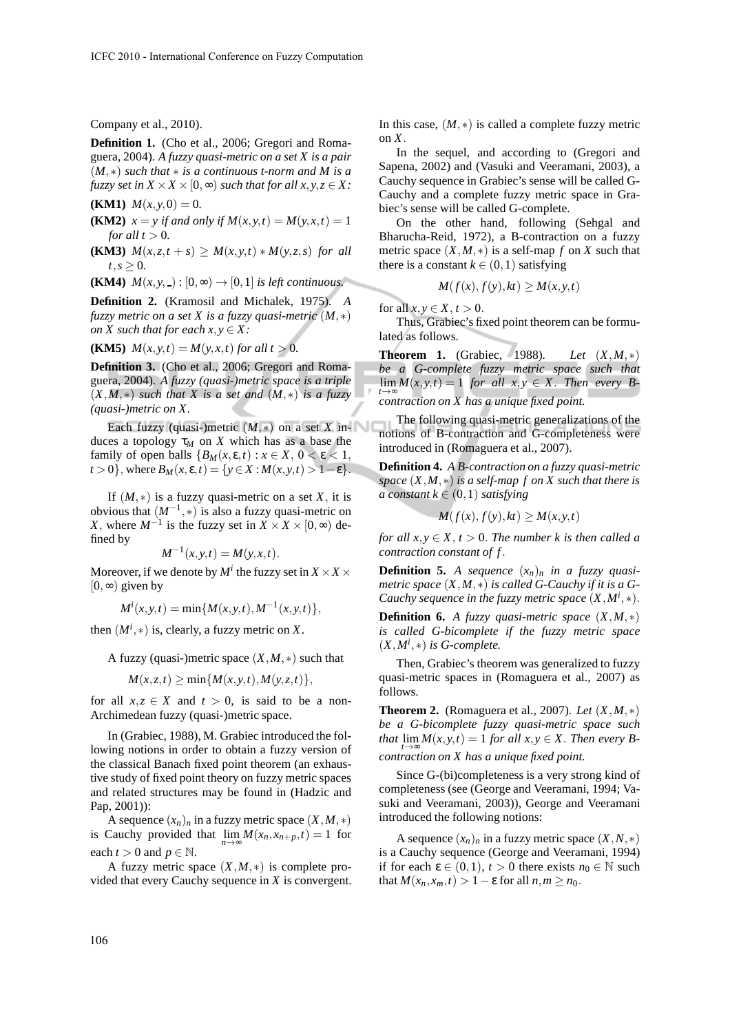Company et al., 2010).

**Definition 1.** (Cho et al., 2006; Gregori and Romaguera, 2004)*. A fuzzy quasi-metric on a set X is a pair* (*M*,∗) *such that* ∗ *is a continuous t-norm and M is a fuzzy set in*  $X \times X \times [0, \infty)$  *such that for all*  $x, y, z \in X$ *:* 

**(KM1)**  $M(x, y, 0) = 0$ .

**(KM2)**  $x = y$  if and only if  $M(x, y, t) = M(y, x, t) = 1$ *for all*  $t > 0$ *.* 

**(KM3)**  $M(x, z, t + s) \geq M(x, y, t) * M(y, z, s)$  *for all*  $t, s \geq 0$ .

**(KM4)**  $M(x, y, ...) : [0, \infty) \rightarrow [0, 1]$  *is left continuous.* 

**Definition 2.** (Kramosil and Michalek, 1975)*. A fuzzy metric on a set X is a fuzzy quasi-metric* (*M*,∗) *on X* such that for each  $x, y \in X$ :

**(KM5)**  $M(x, y, t) = M(y, x, t)$  *for all t* > 0*.* 

**Definition 3.** (Cho et al., 2006; Gregori and Romaguera, 2004)*. A fuzzy (quasi-)metric space is a triple* (*X*,*M*,∗) *such that X is a set and* (*M*,∗) *is a fuzzy (quasi-)metric on X.*

Each fuzzy (quasi-)metric  $(M,*)$  on a set X induces a topology  $\tau_M$  on *X* which has as a base the family of open balls  ${B_M(x, \varepsilon, t) : x \in X, 0 < \varepsilon < 1,}$  $t > 0$ , where  $B_M(x, \varepsilon, t) = \{y \in X : M(x, y, t) > 1 - \varepsilon\}.$ 

If  $(M,*)$  is a fuzzy quasi-metric on a set *X*, it is obvious that  $(M^{-1}, *)$  is also a fuzzy quasi-metric on *X*, where  $M^{-1}$  is the fuzzy set in  $X \times X \times [0, \infty)$  defined by

$$
M^{-1}(x, y, t) = M(y, x, t).
$$

Moreover, if we denote by  $M^i$  the fuzzy set in  $X \times X \times$  $[0, \infty)$  given by

$$
M^{i}(x, y, t) = \min\{M(x, y, t), M^{-1}(x, y, t)\},\
$$

then  $(M^i, *)$  is, clearly, a fuzzy metric on X.

A fuzzy (quasi-)metric space (*X*,*M*,∗) such that

$$
M(x, z, t) \ge \min\{M(x, y, t), M(y, z, t)\},\
$$

for all  $x, z \in X$  and  $t > 0$ , is said to be a non-Archimedean fuzzy (quasi-)metric space.

In (Grabiec, 1988), M. Grabiec introduced the following notions in order to obtain a fuzzy version of the classical Banach fixed point theorem (an exhaustive study of fixed point theory on fuzzy metric spaces and related structures may be found in (Hadzic and Pap, 2001)):

A sequence  $(x_n)_n$  in a fuzzy metric space  $(X, M, *)$ is Cauchy provided that  $\lim_{n \to \infty} M(x_n, x_{n+p}, t) = 1$  for each  $t > 0$  and  $p \in \mathbb{N}$ .

A fuzzy metric space (*X*,*M*,∗) is complete provided that every Cauchy sequence in *X* is convergent. In this case,  $(M,*)$  is called a complete fuzzy metric on *X*.

In the sequel, and according to (Gregori and Sapena, 2002) and (Vasuki and Veeramani, 2003), a Cauchy sequence in Grabiec's sense will be called G-Cauchy and a complete fuzzy metric space in Grabiec's sense will be called G-complete.

On the other hand, following (Sehgal and Bharucha-Reid, 1972), a B-contraction on a fuzzy metric space  $(X, M, *)$  is a self-map *f* on *X* such that there is a constant  $k \in (0,1)$  satisfying

$$
M(f(x), f(y), kt) \ge M(x, y, t)
$$

for all  $x, y \in X, t > 0$ .

Thus, Grabiec's fixed point theorem can be formulated as follows.

**Theorem 1.** (Grabiec, 1988)*. Let* (*X*,*M*,∗) *be a G-complete fuzzy metric space such that*  $\lim_{t\to\infty}$ *M*(*x*, *y*,*t*) = 1 *for all x*, *y* ∈ *X*. *Then every Bcontraction on X has a unique fixed point.*

The following quasi-metric generalizations of the notions of B-contraction and G-completeness were introduced in (Romaguera et al., 2007).

**Definition 4.** *A B-contraction on a fuzzy quasi-metric space* (*X*,*M*,∗) *is a self-map f on X such that there is a constant*  $k \in (0,1)$  *satisfying* 

$$
-M(f(x),f(y),kt) \ge M(x,y,t)
$$

*for all*  $x, y \in X$ ,  $t > 0$ . *The number k is then called a contraction constant of f*.

**Definition 5.** *A sequence*  $(x_n)_n$  *in a fuzzy quasimetric space* (*X*,*M*,∗) *is called G-Cauchy if it is a G-Cauchy sequence in the fuzzy metric space*  $(X, M^i, *)$ .

**Definition 6.** *A fuzzy quasi-metric space*  $(X, M, *)$ *is called G-bicomplete if the fuzzy metric space*  $(X, M^i, *)$  *is G-complete.* 

Then, Grabiec's theorem was generalized to fuzzy quasi-metric spaces in (Romaguera et al., 2007) as follows.

**Theorem 2.** (Romaguera et al., 2007)*. Let* (*X*,*M*,∗) *be a G-bicomplete fuzzy quasi-metric space such that*  $\lim_{t \to \infty} M(x, y, t) = 1$  *for all*  $x, y \in X$ *. Then every Bcontraction on X has a unique fixed point.*

Since G-(bi)completeness is a very strong kind of completeness (see (George and Veeramani, 1994; Vasuki and Veeramani, 2003)), George and Veeramani introduced the following notions:

A sequence  $(x_n)_n$  in a fuzzy metric space  $(X, N, *)$ is a Cauchy sequence (George and Veeramani, 1994) if for each  $\varepsilon \in (0,1)$ ,  $t > 0$  there exists  $n_0 \in \mathbb{N}$  such that  $M(x_n, x_m, t) > 1 - \varepsilon$  for all  $n, m \ge n_0$ .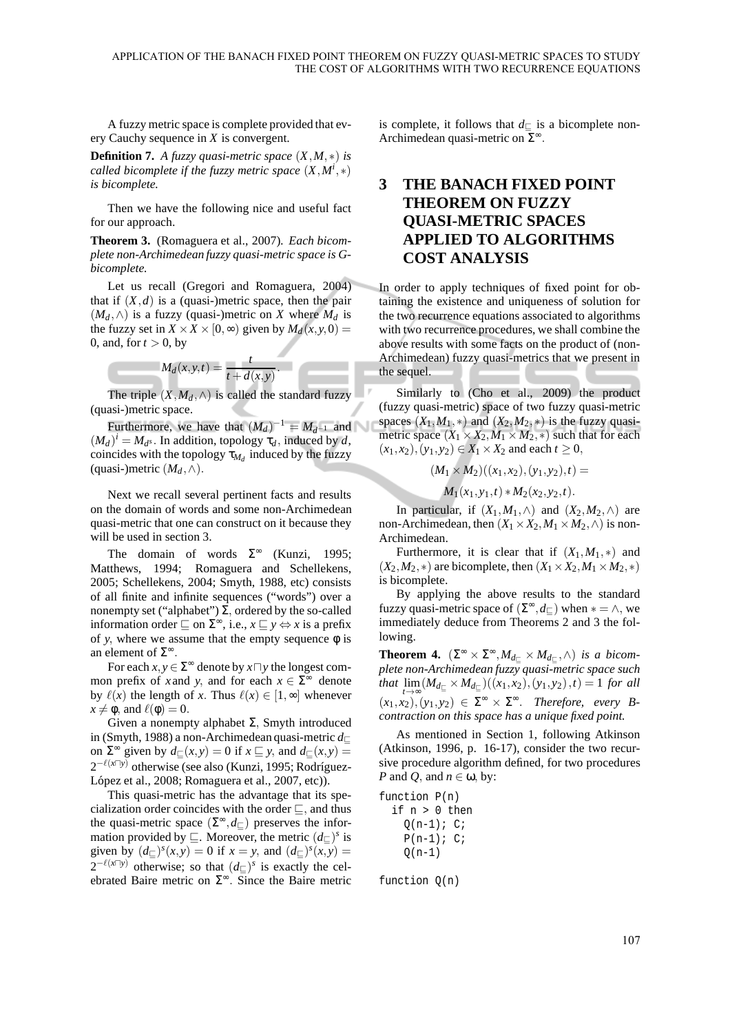A fuzzy metric space is complete provided that every Cauchy sequence in *X* is convergent.

**Definition 7.** *A fuzzy quasi-metric space*  $(X, M, *)$  *is called bicomplete if the fuzzy metric space* (*X*,*M<sup>i</sup>* ,∗) *is bicomplete.*

Then we have the following nice and useful fact for our approach.

**Theorem 3.** (Romaguera et al., 2007)*. Each bicomplete non-Archimedean fuzzy quasi-metric space is Gbicomplete.*

Let us recall (Gregori and Romaguera, 2004) that if  $(X,d)$  is a (quasi-)metric space, then the pair  $(M_d, ∧)$  is a fuzzy (quasi-)metric on *X* where  $M_d$  is the fuzzy set in  $X \times X \times [0, \infty)$  given by  $M_d(x, y, 0) =$ 0, and, for  $t > 0$ , by

$$
M_d(x, y, t) = \frac{t}{t + d(x, y)}
$$

The triple  $(X, M_d, \wedge)$  is called the standard fuzzy (quasi-)metric space.

.

Furthermore, we have that  $(M_d)^{-1} = M_{d^{-1}}$  and  $(M_d)^i = M_d$ s. In addition, topology  $\tau_d$ , induced by *d*, coincides with the topology  $\tau_{M_d}$  induced by the fuzzy (quasi-)metric  $(M_d, \wedge)$ .

Next we recall several pertinent facts and results on the domain of words and some non-Archimedean quasi-metric that one can construct on it because they will be used in section 3.

The domain of words  $\Sigma^{\infty}$  (Kunzi, 1995; Matthews, 1994; Romaguera and Schellekens, 2005; Schellekens, 2004; Smyth, 1988, etc) consists of all finite and infinite sequences ("words") over a nonempty set ("alphabet")  $\Sigma$ , ordered by the so-called information order  $\sqsubseteq$  on  $\Sigma^{\infty}$ , i.e.,  $x \sqsubseteq y \Leftrightarrow x$  is a prefix of *y*, where we assume that the empty sequence  $\phi$  is an element of  $\Sigma^{\infty}$ .

For each  $x, y \in \Sigma^{\infty}$  denote by  $x \square y$  the longest common prefix of *x* and *y*, and for each  $x \in \Sigma^{\infty}$  denote by  $\ell(x)$  the length of *x*. Thus  $\ell(x) \in [1, \infty]$  whenever  $x \neq \phi$ , and  $\ell(\phi) = 0$ .

Given a nonempty alphabet  $Σ$ , Smyth introduced in (Smyth, 1988) a non-Archimedean quasi-metric *d*<sup>⊑</sup> on  $\Sigma^{\infty}$  given by  $d_{\Sigma}(x, y) = 0$  if  $x \subseteq y$ , and  $d_{\Sigma}(x, y) = 0$ 2<sup>-ℓ(*x*⊓*y*)</sup> otherwise (see also (Kunzi, 1995; Rodríguez-López et al., 2008; Romaguera et al., 2007, etc)).

This quasi-metric has the advantage that its specialization order coincides with the order ⊑, and thus the quasi-metric space  $(\Sigma^{\infty}, d_{\square})$  preserves the information provided by  $\sqsubseteq$ . Moreover, the metric  $(d_{\sqsubseteq})^s$  is given by  $(d_{\square})^s(x, y) = 0$  if  $x = y$ , and  $(d_{\square})^s(x, y) = 0$ 2<sup>- $\ell(x\sqcap y)$ </sup> otherwise; so that  $(d_\sqsubseteq)^s$  is exactly the celebrated Baire metric on  $\Sigma^{\infty}$ . Since the Baire metric

is complete, it follows that *d*<sup>⊑</sup> is a bicomplete non-Archimedean quasi-metric on  $\bar{\Sigma}^{\infty}$ .

## **3 THE BANACH FIXED POINT THEOREM ON FUZZY QUASI-METRIC SPACES APPLIED TO ALGORITHMS COST ANALYSIS**

In order to apply techniques of fixed point for obtaining the existence and uniqueness of solution for the two recurrence equations associated to algorithms with two recurrence procedures, we shall combine the above results with some facts on the product of (non-Archimedean) fuzzy quasi-metrics that we present in the sequel.

Similarly to (Cho et al., 2009) the product (fuzzy quasi-metric) space of two fuzzy quasi-metric spaces  $(X_1, M_1, *)$  and  $(X_2, M_2, *)$  is the fuzzy quasimetric space  $(X_1 \times X_2, M_1 \times M_2, *)$  such that for each  $(x_1, x_2), (y_1, y_2) \in X_1 \times X_2$  and each *t* ≥ 0,

 $(M_1 \times M_2)((x_1, x_2), (y_1, y_2), t) =$ 

 $M_1(x_1, y_1, t) * M_2(x_2, y_2, t).$ 

In particular, if  $(X_1, M_1, \wedge)$  and  $(X_2, M_2, \wedge)$  are non-Archimedean, then  $(X_1 \times X_2, M_1 \times M_2, \wedge)$  is non-Archimedean.

Furthermore, it is clear that if  $(X_1, M_1, *)$  and  $(X_2, M_2, *)$  are bicomplete, then  $(X_1 \times X_2, M_1 \times M_2, *)$ is bicomplete.

By applying the above results to the standard fuzzy quasi-metric space of  $(\Sigma^{\infty}, d_{\square})$  when  $* = \wedge$ , we immediately deduce from Theorems 2 and 3 the following.

**Theorem 4.**  $(\Sigma^{\infty} \times \Sigma^{\infty}, M_{d_{\Sigma}} \times M_{d_{\Sigma}}, \wedge)$  *is a bicomplete non-Archimedean fuzzy quasi-metric space such that*  $\lim_{t \to \infty} (M_{d_{\square}} \times M_{d_{\square}})((x_1, x_2), (y_1, y_2), t) = 1$  *for all*  $(x_1, x_2), (y_1, y_2) \in \Sigma^{\infty} \times \Sigma^{\infty}$ . *Therefore, every Bcontraction on this space has a unique fixed point.*

As mentioned in Section 1, following Atkinson (Atkinson, 1996, p. 16-17), consider the two recursive procedure algorithm defined, for two procedures *P* and *Q*, and *n* ∈ ω, by:

function P(n)

|          |  | if n > 0 then |
|----------|--|---------------|
|          |  | $O(n-1)$ ; C; |
|          |  | $P(n-1); C;$  |
| $O(n-1)$ |  |               |

function Q(n)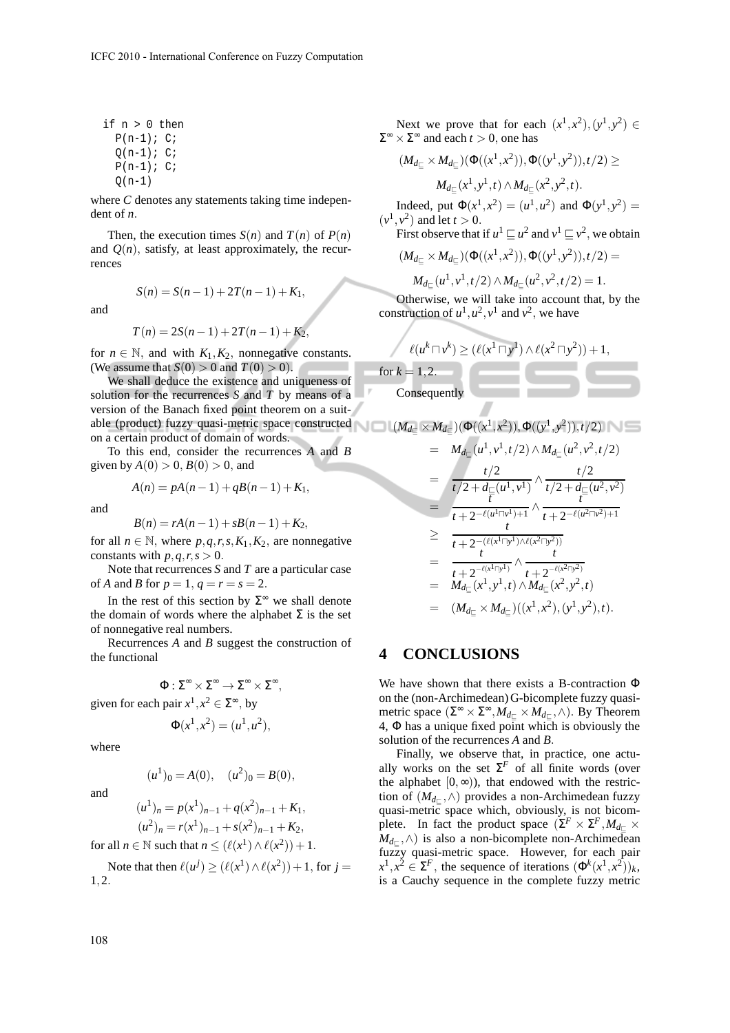if n > 0 then  $P(n-1); C;$  $Q(n-1); C;$  $P(n-1); C;$  $Q(n-1)$ 

where *C* denotes any statements taking time independent of *n*.

Then, the execution times  $S(n)$  and  $T(n)$  of  $P(n)$ and  $Q(n)$ , satisfy, at least approximately, the recurrences

 $S(n) = S(n-1) + 2T(n-1) + K_1$ 

and

$$
T(n) = 2S(n-1) + 2T(n-1) + K_2,
$$

for  $n \in \mathbb{N}$ , and with  $K_1, K_2$ , nonnegative constants. (We assume that  $S(0) > 0$  and  $T(0) > 0$ ).

We shall deduce the existence and uniqueness of solution for the recurrences *S* and *T* by means of a version of the Banach fixed point theorem on a suitable (product) fuzzy quasi-metric space constructed on a certain product of domain of words.

To this end, consider the recurrences *A* and *B* given by  $A(0) > 0$ ,  $B(0) > 0$ , and

$$
A(n) = pA(n-1) + qB(n-1) + K_1,
$$

and

$$
B(n) = rA(n-1) + sB(n-1) + K_2,
$$

for all  $n \in \mathbb{N}$ , where  $p, q, r, s, K_1, K_2$ , are nonnegative constants with  $p, q, r, s > 0$ .

Note that recurrences *S* and *T* are a particular case of *A* and *B* for  $p = 1, q = r = s = 2$ .

In the rest of this section by  $\Sigma^{\infty}$  we shall denote the domain of words where the alphabet  $\Sigma$  is the set of nonnegative real numbers.

Recurrences *A* and *B* suggest the construction of the functional

 $\Phi : \Sigma^{\infty} \times \Sigma^{\infty} \to \Sigma^{\infty} \times \Sigma^{\infty}$ given for each pair  $x^1, x^2 \in \Sigma^{\infty}$ , by

$$
\Phi(x^1, x^2) = (u^1, u^2),
$$

where

and

 $(u^1)_0 = A(0), \quad (u^2)_0 = B(0),$ 

$$
(u1)n = p(x1)n-1 + q(x2)n-1 + K1,(u2)n = r(x1)n-1 + s(x2)n-1 + K2,
$$

for all  $n \in \mathbb{N}$  such that  $n \leq (\ell(x^1) \wedge \ell(x^2)) + 1$ .

Note that then  $\ell(u^j) \geq (\ell(x^1) \wedge \ell(x^2)) + 1$ , for  $j =$ 1,2.

Next we prove that for each  $(x^1, x^2), (y^1, y^2) \in$  $\Sigma^{\infty} \times \Sigma^{\infty}$  and each  $t > 0$ , one has

$$
(M_{d_{\square}} \times M_{d_{\square}})(\Phi((x^1, x^2)), \Phi((y^1, y^2)), t/2) \ge
$$
  

$$
M_{d_{\square}}(x^1, y^1, t) \wedge M_{d_{\square}}(x^2, y^2, t).
$$

Indeed, put  $\Phi(x^1, x^2) = (u^1, u^2)$  and  $\Phi(y^1, y^2) =$  $(v^1, v^2)$  and let  $t > 0$ . First observe that if  $u^1 \sqsubseteq u^2$  and  $v^1 \sqsubseteq v^2$ , we obtain

$$
(M_{d_{\square}} \times M_{d_{\square}}) (\Phi((x^1,x^2)), \Phi((y^1,y^2)), t/2) =
$$

$$
M_{d_{\square}}(u^1, v^1, t/2) \wedge M_{d_{\square}}(u^2, v^2, t/2) = 1.
$$

Otherwise, we will take into account that, by the construction of  $u^1, u^2, v^1$  and  $v^2$ , we have

$$
\ell(u^k \sqcap v^k) \ge (\ell(x^1 \sqcap y^1) \land \ell(x^2 \sqcap y^2)) + 1,
$$
  
r k = 1, 2.

Consequently

for *k* = 1,2.

$$
\blacksquare \lfloor (M_{d_\sqsubseteq} \times M_{d_\sqsubseteq}) (\Phi((x^1,x^2)), \Phi((y^1,y^2)), t/2) \rfloor \blacksquare
$$

$$
= M_{d_{\square}}(u^{1}, v^{1}, t/2) \wedge M_{d_{\square}}(u^{2}, v^{2}, t/2)
$$
  
\n
$$
= \frac{t/2}{t/2 + d_{\square}(u^{1}, v^{1})} \wedge \frac{t/2}{t/2 + d_{\square}(u^{2}, v^{2})}
$$
  
\n
$$
= \frac{t}{t + 2^{-\ell(u^{1} \sqcap v^{1}) + 1}} \wedge \frac{t}{t + 2^{-\ell(u^{2} \sqcap v^{2}) + 1}}
$$
  
\n
$$
\geq \frac{t}{t + 2^{-(\ell(x^{1} \sqcap y^{1}) \wedge \ell(x^{2} \sqcap y^{2}))}}
$$
  
\n
$$
= \frac{t}{t + 2^{-\ell(x^{1} \sqcap y^{1})}} \wedge \frac{t}{t + 2^{-\ell(x^{2} \sqcap y^{2})}}
$$
  
\n
$$
= M_{d_{\square}}(x^{1}, y^{1}, t) \wedge M_{d_{\square}}(x^{2}, y^{2}, t)
$$
  
\n
$$
= (M_{d_{\square}} \times M_{d_{\square}})((x^{1}, x^{2}), (y^{1}, y^{2}), t).
$$

#### **4 CONCLUSIONS**

We have shown that there exists a B-contraction Φ on the (non-Archimedean) G-bicomplete fuzzy quasimetric space ( $\Sigma^{\infty} \times \Sigma^{\infty}$ ,  $M_{d_{\square}} \times M_{d_{\square}}$ ,  $\wedge$ ). By Theorem 4, Φ has a unique fixed point which is obviously the solution of the recurrences *A* and *B*.

Finally, we observe that, in practice, one actually works on the set  $\Sigma^F$  of all finite words (over the alphabet  $[0, \infty)$ , that endowed with the restriction of (*Md*<sup>⊑</sup> ,∧) provides a non-Archimedean fuzzy quasi-metric space which, obviously, is not bicomplete. In fact the product space  $(\Sigma^F \times \Sigma^F, M_{d_{\square}} \times$ *Md*<sup>⊑</sup> ,∧) is also a non-bicomplete non-Archimedean fuzzy quasi-metric space. However, for each pair  $x^1, x^2 \in \Sigma^F$ , the sequence of iterations  $(\Phi^k(x^1, x^2))_k$ , is a Cauchy sequence in the complete fuzzy metric